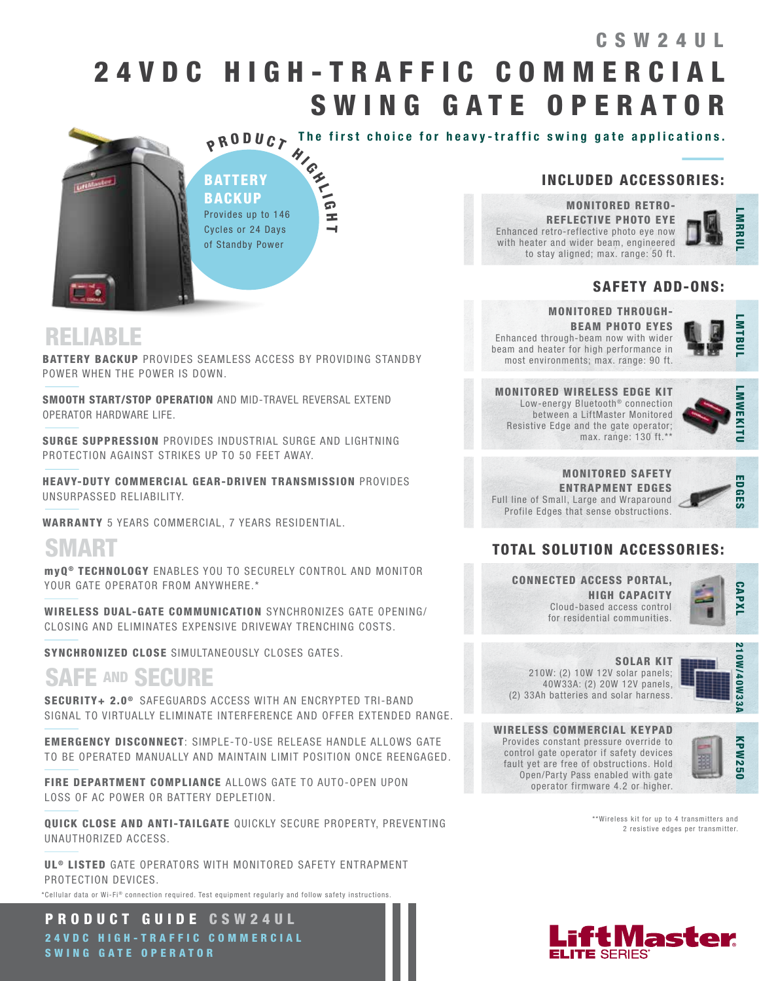## 2 4 V D C H I G H - T R A F F I C C O M M E R C I A L SWING GATE OPERATOR CSW24UL



The first choice for heavy-traffic swing gate applications.

**P R O D U C T The fitter**<br>BATTERY<br>BACKUP BATTERY Provides up to 146 Cycles or 24 Days of Standby Power

H  $\overline{\phantom{0}}$ 

#### INCLUDED ACCESSORIES:

MONITORED RETRO-REFLECTIVE PHOTO EYE Enhanced retro-reflective photo eye now with heater and wider beam, engineered to stay aligned; max. range: 50 ft.

## LMAR<br>C<br>C<br>C **MRRU**

#### SAFETY ADD-ONS:

## RELIABLE

BATTERY BACKUP PROVIDES SEAMLESS ACCESS BY PROVIDING STANDBY POWER WHEN THE POWER IS DOWN.

SMOOTH START/STOP OPERATION AND MID-TRAVEL REVERSAL EXTEND OPERATOR HARDWARE LIFE.

SURGE SUPPRESSION PROVIDES INDUSTRIAL SURGE AND LIGHTNING PROTECTION AGAINST STRIKES UP TO 50 FEET AWAY.

HEAVY-DUTY COMMERCIAL GEAR-DRIVEN TRANSMISSION PROVIDES UNSURPASSED RELIABILITY.

WARRANTY 5 YEARS COMMERCIAL, 7 YEARS RESIDENTIAL.

## SMART

myQ ® TECHNOLOGY ENABLES YOU TO SECURELY CONTROL AND MONITOR YOUR GATE OPERATOR FROM ANYWHERE.\*

WIRELESS DUAL-GATE COMMUNICATION SYNCHRONIZES GATE OPENING/ CLOSING AND ELIMINATES EXPENSIVE DRIVEWAY TRENCHING COSTS.

SYNCHRONIZED CLOSE SIMULTANEOUSLY CLOSES GATES.

## SAFE AND SECURE

SECURITY+ 2.0<sup>®</sup> SAFEGUARDS ACCESS WITH AN ENCRYPTED TRI-BAND SIGNAL TO VIRTUALLY ELIMINATE INTERFERENCE AND OFFER EXTENDED RANGE.

EMERGENCY DISCONNECT: SIMPLE-TO-USE RELEASE HANDLE ALLOWS GATE TO BE OPERATED MANUALLY AND MAINTAIN LIMIT POSITION ONCE REENGAGED.

FIRE DEPARTMENT COMPLIANCE ALLOWS GATE TO AUTO-OPEN UPON LOSS OF AC POWER OR BATTERY DEPLETION.

QUICK CLOSE AND ANTI-TAILGATE QUICKLY SECURE PROPERTY, PREVENTING UNAUTHORIZED ACCESS.

UL<sup>®</sup> LISTED GATE OPERATORS WITH MONITORED SAFETY ENTRAPMENT PROTECTION DEVICES. \*Cellular data or Wi-Fi® connection required. Test equipment regularly and follow safety instructions.

PRODUCT GUIDE CSW24UL 2 4 V D C H I G H - T R A F F I C C O M M E R C I A L SWING GATE OPERATOR

#### MONITORED THROUGH-BEAM PHOTO EYES Enhanced through-beam now with wider beam and heater for high performance in most environments; max. range: 90 ft.



MONITORED WIRELESS EDGE KIT Low-energy Bluetooth<sup>®</sup> connection between a LiftMaster Monitored Resistive Edge and the gate operator; max. range: 130 ft.\*\*



MONITORED SAFETY ENTRAPMENT EDGES Full line of Small, Large and Wraparound Profile Edges that sense obstructions.



#### TOTAL SOLUTION ACCESSORIES:

CONNECTED ACCESS PORTAL, HIGH CAPACITY Cloud-based access control for residential communities.



SOLAR KIT 210W: (2) 10W 12V solar panels; 40W33A: (2) 20W 12V panels, (2) 33Ah batteries and solar harness.



WIRELESS COMMERCIAL KEYPAD Provides constant pressure override to control gate operator if safety devices fault yet are free of obstructions. Hold Open/Party Pass enabled with gate operator firmware 4.2 or higher.



\*\*Wireless kit for up to 4 transmitters and 2 resistive edges per transmitter.